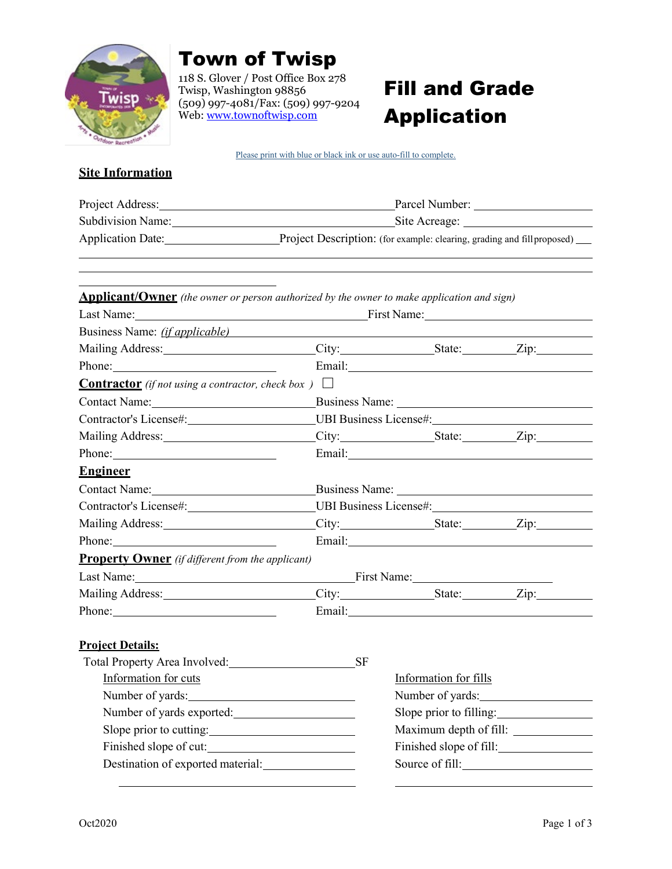

## Town of Twisp

118 S. Glover / Post Office Box 278 Twisp, Washington 98856 (509) 997-4081/Fax: (509) 997-9204 Web: [www.townoftwisp.com](http://www.townoftwisp.com/)

# Fill and Grade Application

Please print with blue or black ink or use auto-fill to complete.

### **Site Information**

| Project Address:         | Parcel Number:                                                             |
|--------------------------|----------------------------------------------------------------------------|
| <b>Subdivision Name:</b> | Site Acreage:                                                              |
| <b>Application Date:</b> | Project Description: (for example: clearing, grading and fillproposed) ___ |

| <b>Applicant/Owner</b> (the owner or person authorized by the owner to make application and sign)                                                                                                                              |                                                                      |                                                                                                                                                                                                                                      |  |
|--------------------------------------------------------------------------------------------------------------------------------------------------------------------------------------------------------------------------------|----------------------------------------------------------------------|--------------------------------------------------------------------------------------------------------------------------------------------------------------------------------------------------------------------------------------|--|
|                                                                                                                                                                                                                                | Last Name: First Name: First Name:                                   |                                                                                                                                                                                                                                      |  |
| Business Name: <i>(if applicable)</i>                                                                                                                                                                                          |                                                                      |                                                                                                                                                                                                                                      |  |
|                                                                                                                                                                                                                                |                                                                      | City: State: Zip:                                                                                                                                                                                                                    |  |
| Phone: $\sqrt{ }$                                                                                                                                                                                                              |                                                                      | Email: Note and the second service of the service of the service of the service of the service of the service of the service of the service of the service of the service of the service of the service of the service of the        |  |
| <b>Contractor</b> (if not using a contractor, check box) $\Box$                                                                                                                                                                |                                                                      |                                                                                                                                                                                                                                      |  |
|                                                                                                                                                                                                                                |                                                                      |                                                                                                                                                                                                                                      |  |
|                                                                                                                                                                                                                                | Contractor's License#: UBI Business License#: UBI Business License#: |                                                                                                                                                                                                                                      |  |
| Mailing Address: Mailing Address:                                                                                                                                                                                              |                                                                      | City: State: Zip:                                                                                                                                                                                                                    |  |
| Phone:                                                                                                                                                                                                                         |                                                                      | Email: <u>Alexander School (Alexander School)</u>                                                                                                                                                                                    |  |
| <b>Engineer</b>                                                                                                                                                                                                                |                                                                      |                                                                                                                                                                                                                                      |  |
|                                                                                                                                                                                                                                | Contact Name: Business Name: Business Name:                          |                                                                                                                                                                                                                                      |  |
| Contractor's License#:                                                                                                                                                                                                         | UBI Business License#:                                               |                                                                                                                                                                                                                                      |  |
|                                                                                                                                                                                                                                |                                                                      | City: State: Zip:                                                                                                                                                                                                                    |  |
| Phone: 2008. Contact and the contact of the contact of the contact of the contact of the contact of the contact of the contact of the contact of the contact of the contact of the contact of the contact of the contact of th |                                                                      | Email: <u>Constantino and Constantino and Constantino and Constantino and Constantino and Constantino and Constantino and Constantino and Constantino and Constantino and Constantino and Constantino and Constantino and Consta</u> |  |
| <b>Property Owner</b> (if different from the applicant)                                                                                                                                                                        |                                                                      |                                                                                                                                                                                                                                      |  |
|                                                                                                                                                                                                                                |                                                                      |                                                                                                                                                                                                                                      |  |
|                                                                                                                                                                                                                                |                                                                      | City: State: Zip:                                                                                                                                                                                                                    |  |
|                                                                                                                                                                                                                                |                                                                      | Email: and the contract of the contract of the contract of the contract of the contract of the contract of the contract of the contract of the contract of the contract of the contract of the contract of the contract of the       |  |
|                                                                                                                                                                                                                                |                                                                      |                                                                                                                                                                                                                                      |  |
| <b>Project Details:</b>                                                                                                                                                                                                        |                                                                      |                                                                                                                                                                                                                                      |  |
| Total Property Area Involved: SF                                                                                                                                                                                               |                                                                      |                                                                                                                                                                                                                                      |  |
| Information for cuts                                                                                                                                                                                                           |                                                                      | Information for fills                                                                                                                                                                                                                |  |
| Number of yards:                                                                                                                                                                                                               |                                                                      | Number of yards:                                                                                                                                                                                                                     |  |
| Number of yards exported:                                                                                                                                                                                                      |                                                                      | Slope prior to filling:                                                                                                                                                                                                              |  |
| Slope prior to cutting:                                                                                                                                                                                                        |                                                                      | Maximum depth of fill:                                                                                                                                                                                                               |  |
| Finished slope of cut:                                                                                                                                                                                                         |                                                                      | Finished slope of fill:                                                                                                                                                                                                              |  |
|                                                                                                                                                                                                                                |                                                                      | Source of fill:                                                                                                                                                                                                                      |  |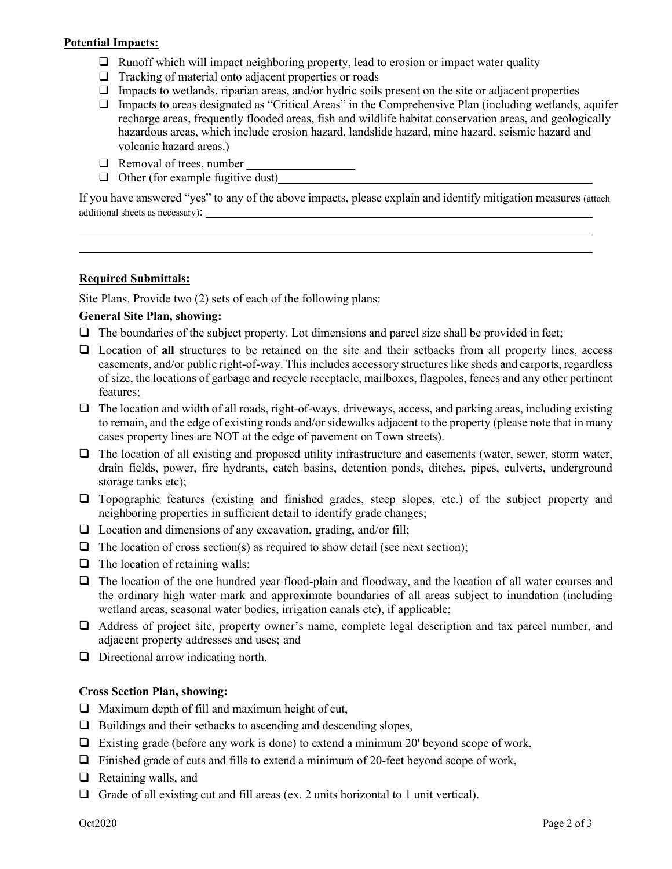#### **Potential Impacts:**

- $\Box$  Runoff which will impact neighboring property, lead to erosion or impact water quality
- $\Box$  Tracking of material onto adjacent properties or roads
- $\Box$  Impacts to wetlands, riparian areas, and/or hydric soils present on the site or adjacent properties
- Impacts to areas designated as "Critical Areas" in the Comprehensive Plan (including wetlands, aquifer recharge areas, frequently flooded areas, fish and wildlife habitat conservation areas, and geologically hazardous areas, which include erosion hazard, landslide hazard, mine hazard, seismic hazard and volcanic hazard areas.)
- $\Box$  Removal of trees, number
- $\Box$  Other (for example fugitive dust)

If you have answered "yes" to any of the above impacts, please explain and identify mitigation measures (attach additional sheets as necessary):

#### **Required Submittals:**

Site Plans. Provide two (2) sets of each of the following plans:

#### **General Site Plan, showing:**

- $\Box$  The boundaries of the subject property. Lot dimensions and parcel size shall be provided in feet;
- Location of **all** structures to be retained on the site and their setbacks from all property lines, access easements, and/or public right-of-way. This includes accessory structures like sheds and carports, regardless of size, the locations of garbage and recycle receptacle, mailboxes, flagpoles, fences and any other pertinent features;
- $\Box$  The location and width of all roads, right-of-ways, driveways, access, and parking areas, including existing to remain, and the edge of existing roads and/or sidewalks adjacent to the property (please note that in many cases property lines are NOT at the edge of pavement on Town streets).
- $\Box$  The location of all existing and proposed utility infrastructure and easements (water, sewer, storm water, drain fields, power, fire hydrants, catch basins, detention ponds, ditches, pipes, culverts, underground storage tanks etc);
- $\Box$  Topographic features (existing and finished grades, steep slopes, etc.) of the subject property and neighboring properties in sufficient detail to identify grade changes;
- $\Box$  Location and dimensions of any excavation, grading, and/or fill;
- $\Box$  The location of cross section(s) as required to show detail (see next section);
- $\Box$  The location of retaining walls;
- The location of the one hundred year flood-plain and floodway, and the location of all water courses and the ordinary high water mark and approximate boundaries of all areas subject to inundation (including wetland areas, seasonal water bodies, irrigation canals etc), if applicable;
- Address of project site, property owner's name, complete legal description and tax parcel number, and adjacent property addresses and uses; and
- $\Box$  Directional arrow indicating north.

#### **Cross Section Plan, showing:**

- $\Box$  Maximum depth of fill and maximum height of cut,
- $\Box$  Buildings and their setbacks to ascending and descending slopes,
- $\Box$  Existing grade (before any work is done) to extend a minimum 20' beyond scope of work,
- $\Box$  Finished grade of cuts and fills to extend a minimum of 20-feet beyond scope of work,
- $\Box$  Retaining walls, and
- Grade of all existing cut and fill areas (ex. 2 units horizontal to 1 unit vertical).